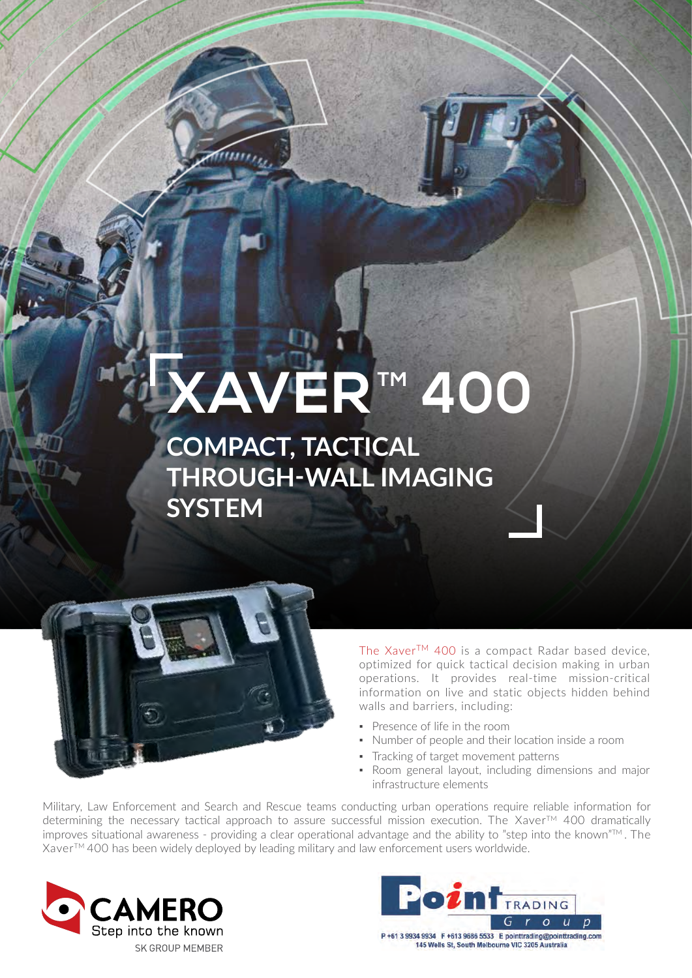# **XAVERTM 400**

### **COMPACT, TACTICAL THROUGH-WALL IMAGING SYSTEM**



The Xaver™ 400 is a compact Radar based device, optimized for quick tactical decision making in urban operations. It provides real-time mission-critical information on live and static objects hidden behind walls and barriers, including:

- Presence of life in the room
- Number of people and their location inside a room
- **Tracking of target movement patterns**
- Room general layout, including dimensions and major infrastructure elements

Military, Law Enforcement and Search and Rescue teams conducting urban operations require reliable information for determining the necessary tactical approach to assure successful mission execution. The Xaver™ 400 dramatically improves situational awareness - providing a clear operational advantage and the ability to "step into the known"<sup>TM</sup>. The XaverTM 400 has been widely deployed by leading military and law enforcement users worldwide.